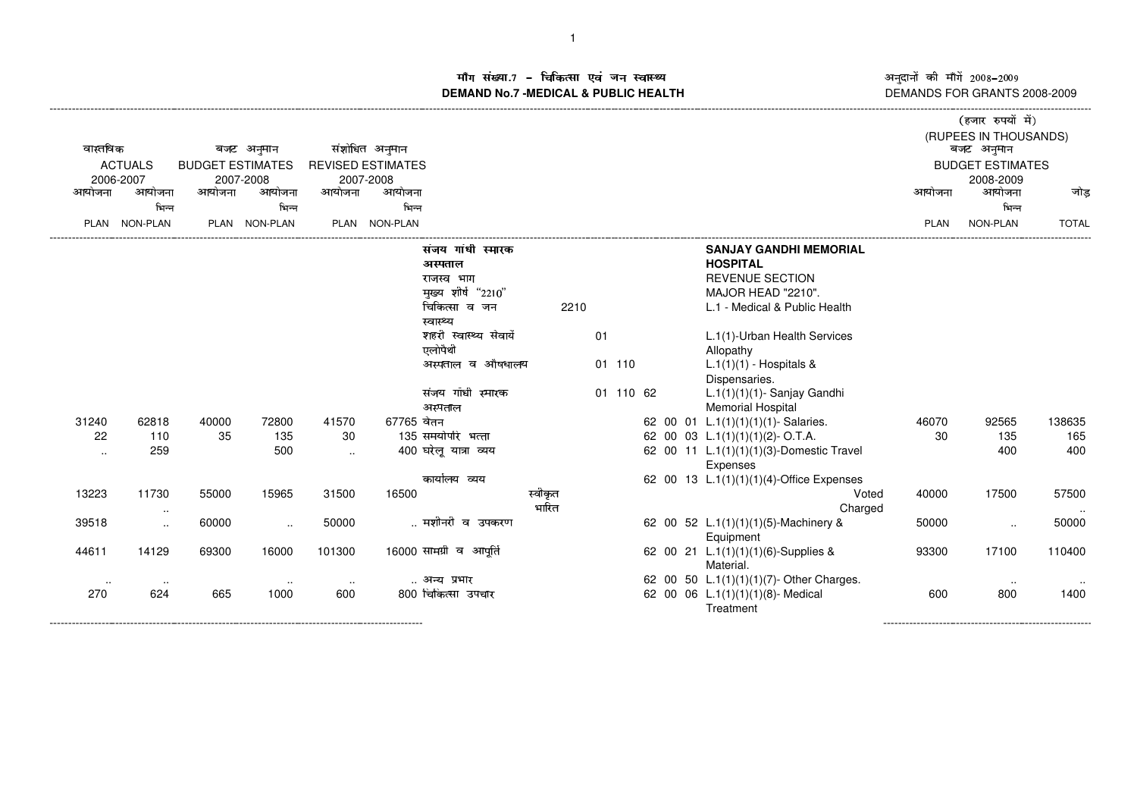ाँग संख्या.7 – चिकित्सा एवं जन स्वास्थ्य<br>IAND No.7 MEDICAL & DURLIC HEALTH **DEMAND No.7 -MEDICAL & PUBLIC HEALTH**

----------------------------------------------------------------------------------------------------------------------------------------------------------------------------------------------------------------------------------------------------------------------------------------------

अनुदानों की माँगें 2008–2009 DEMANDS FOR GRANTS 2008-2009

---------------------------------------------------------

|                |                        |                         |               |               |                          |                         |         |    |           |  |  |                                          | (हजार रुपयों में) |                         |              |  |
|----------------|------------------------|-------------------------|---------------|---------------|--------------------------|-------------------------|---------|----|-----------|--|--|------------------------------------------|-------------------|-------------------------|--------------|--|
|                |                        |                         |               |               |                          |                         |         |    |           |  |  |                                          |                   | (RUPEES IN THOUSANDS)   |              |  |
|                | वास्तविक<br>बजट अनुमान |                         |               |               | संशोधित अनुमान           |                         |         |    |           |  |  |                                          |                   | बजट अनुमान              |              |  |
| <b>ACTUALS</b> |                        | <b>BUDGET ESTIMATES</b> |               |               | <b>REVISED ESTIMATES</b> |                         |         |    |           |  |  |                                          |                   | <b>BUDGET ESTIMATES</b> |              |  |
|                | 2006-2007              |                         | 2007-2008     |               | 2007-2008                |                         |         |    |           |  |  |                                          |                   | 2008-2009               |              |  |
| आयोजना         | आयोजना                 | आयोजना                  | आयोजना        | आयोजना        | आयोजना                   |                         |         |    |           |  |  |                                          | आयोजना            | आयोजना                  | जोड़         |  |
|                | भिन्न                  |                         | भिन्न         |               | भिन्न                    |                         |         |    |           |  |  |                                          |                   | भिन्न                   |              |  |
|                | PLAN NON-PLAN          |                         | PLAN NON-PLAN |               | PLAN NON-PLAN            |                         |         |    |           |  |  |                                          | PLAN              | NON-PLAN                | <b>TOTAL</b> |  |
|                |                        |                         |               |               |                          | संजय गांधी स्मारक       |         |    |           |  |  | <b>SANJAY GANDHI MEMORIAL</b>            |                   |                         |              |  |
|                |                        |                         |               |               |                          | अस्पताल                 |         |    |           |  |  | <b>HOSPITAL</b>                          |                   |                         |              |  |
|                |                        |                         |               |               |                          | राजस्व भाग              |         |    |           |  |  | <b>REVENUE SECTION</b>                   |                   |                         |              |  |
|                |                        |                         |               |               |                          | मुख्य शीर्ष "2210"      |         |    |           |  |  | MAJOR HEAD "2210".                       |                   |                         |              |  |
|                |                        |                         |               |               |                          | चिकित्सा व जन           | 2210    |    |           |  |  | L.1 - Medical & Public Health            |                   |                         |              |  |
|                |                        |                         |               |               |                          | स्वास्थ्य               |         |    |           |  |  |                                          |                   |                         |              |  |
|                |                        |                         |               |               |                          | शहरी स्वास्थ्य सेवायेँ  |         | 01 |           |  |  | L.1(1)-Urban Health Services             |                   |                         |              |  |
|                |                        |                         |               |               |                          | एलोपैथी                 |         |    |           |  |  | Allopathy                                |                   |                         |              |  |
|                |                        |                         |               |               |                          | अस्पताल व औषधालय        |         |    | 01 110    |  |  | $L.1(1)(1)$ - Hospitals &                |                   |                         |              |  |
|                |                        |                         |               |               |                          |                         |         |    |           |  |  | Dispensaries.                            |                   |                         |              |  |
|                |                        |                         |               |               |                          | संजय गॉधी स्मारक        |         |    | 01 110 62 |  |  | $L.1(1)(1)(1)$ - Sanjay Gandhi           |                   |                         |              |  |
|                |                        |                         |               |               |                          | अस्पताल                 |         |    |           |  |  | <b>Memorial Hospital</b>                 |                   |                         |              |  |
| 31240          | 62818                  | 40000                   | 72800         | 41570         | 67765 वेतन               |                         |         |    |           |  |  | 62 00 01 L.1(1)(1)(1)(1)- Salaries.      | 46070             | 92565                   | 138635       |  |
| 22             | 110                    | 35                      | 135           | 30            |                          | 135 समयोपरि भत्ता       |         |    |           |  |  | 62 00 03 L.1(1)(1)(1)(2)-O.T.A.          | 30                | 135                     | 165          |  |
| $\ddotsc$      | 259                    |                         | 500           |               |                          | 400 घरेलू यात्रा व्यय   |         |    |           |  |  | 62 00 11 L.1(1)(1)(1)(3)-Domestic Travel |                   | 400                     | 400          |  |
|                |                        |                         |               |               |                          |                         |         |    |           |  |  | Expenses                                 |                   |                         |              |  |
|                |                        |                         |               |               |                          | कार्यालय व्यय           |         |    |           |  |  | 62 00 13 L.1(1)(1)(1)(4)-Office Expenses |                   |                         |              |  |
| 13223          | 11730                  | 55000                   | 15965         | 31500         | 16500                    |                         | स्वीकृत |    |           |  |  | Voted                                    | 40000             | 17500                   | 57500        |  |
|                | $\cdot$ .              |                         |               |               |                          |                         | भारित   |    |           |  |  | Charged                                  |                   |                         |              |  |
| 39518          | $\cdot$ .              | 60000                   | $\sim$        | 50000         |                          | मशीनरी व उपकरण          |         |    |           |  |  | 62 00 52 L.1(1)(1)(1)(5)-Machinery &     | 50000             | $\cdot$ .               | 50000        |  |
|                |                        |                         |               |               |                          |                         |         |    |           |  |  | Equipment                                |                   |                         |              |  |
| 44611          | 14129                  | 69300                   | 16000         | 101300        |                          | 16000 सामग्री व आपूर्ति |         |    |           |  |  | 62 00 21 L.1(1)(1)(1)(6)-Supplies &      | 93300             | 17100                   | 110400       |  |
|                |                        |                         |               |               |                          |                         |         |    |           |  |  | Material.                                |                   |                         |              |  |
|                | $\sim$ $\sim$          |                         | $\sim$ $\sim$ | $\sim$ $\sim$ |                          | अन्य प्रभार             |         |    |           |  |  | 62 00 50 L.1(1)(1)(1)(7)- Other Charges. |                   | $\sim$ $\sim$           |              |  |
| 270            | 624                    | 665                     | 1000          | 600           |                          | 800 चिकित्सा उपचार      |         |    |           |  |  | 62 00 06 L.1(1)(1)(1)(8)- Medical        | 600               | 800                     | 1400         |  |
|                |                        |                         |               |               |                          |                         |         |    |           |  |  | Treatment                                |                   |                         |              |  |

------------------------------------------------------------------------------------------------------